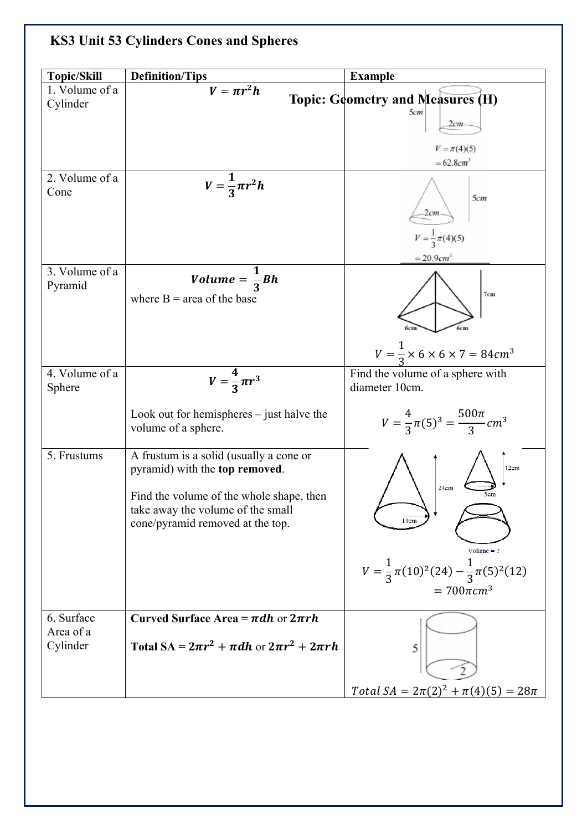## **KS3 Unit 53 Cylinders Cones and Spheres**

| <b>Topic/Skill</b>       | <b>Definition/Tips</b>                                                                                                                                                                         | <b>Example</b>                                                                           |
|--------------------------|------------------------------------------------------------------------------------------------------------------------------------------------------------------------------------------------|------------------------------------------------------------------------------------------|
| 1. Volume of a           | $\overline{V} = \pi r^2 h$                                                                                                                                                                     |                                                                                          |
| Cylinder                 |                                                                                                                                                                                                | <b>Topic: Geometry and Measures (H)</b>                                                  |
|                          |                                                                                                                                                                                                | 5cm<br>2cm                                                                               |
|                          |                                                                                                                                                                                                | $V = \pi(4)(5)$<br>$= 62.8$ cm <sup>3</sup>                                              |
| 2. Volume of a<br>Cone   | $V=\frac{1}{3}\pi r^2h$                                                                                                                                                                        | 5cm<br>2cm                                                                               |
|                          |                                                                                                                                                                                                | $V = \frac{1}{3}\pi(4)(5)$<br>$= 20.9 cm3$                                               |
| 3. Volume of a           |                                                                                                                                                                                                |                                                                                          |
| Pyramid                  | <i>Volume</i> = $\frac{1}{3}Bh$<br>where $B = \text{area of the base}$                                                                                                                         | 7cm                                                                                      |
|                          |                                                                                                                                                                                                | $V = \frac{1}{3} \times 6 \times 6 \times 7 = 84 cm^3$                                   |
| 4. Volume of a<br>Sphere | $V=\frac{4}{3}\pi r^3$                                                                                                                                                                         | Find the volume of a sphere with<br>diameter 10cm.                                       |
|                          | Look out for hemispheres $-$ just halve the<br>volume of a sphere.                                                                                                                             | $V = \frac{4}{3}\pi(5)^3 = \frac{500\pi}{3}cm^3$                                         |
| 5. Frustums              | A frustum is a solid (usually a cone or<br>pyramid) with the top removed.<br>Find the volume of the whole shape, then<br>take away the volume of the small<br>cone/pyramid removed at the top. | 12cm<br>24cm<br>$Volume = ?$<br>$V = \frac{1}{3}\pi(10)^2(24) - \frac{1}{3}\pi(5)^2(12)$ |
| 6. Surface               | Curved Surface Area = $\pi dh$ or $2\pi rh$                                                                                                                                                    | $= 700 \pi cm^{3}$                                                                       |
| Area of a<br>Cylinder    | Total SA = $2\pi r^2 + \pi dh$ or $2\pi r^2 + 2\pi rh$                                                                                                                                         | 5                                                                                        |
|                          |                                                                                                                                                                                                | Total $SA = 2\pi(2)^2 + \pi(4)(5) = 28\pi$                                               |